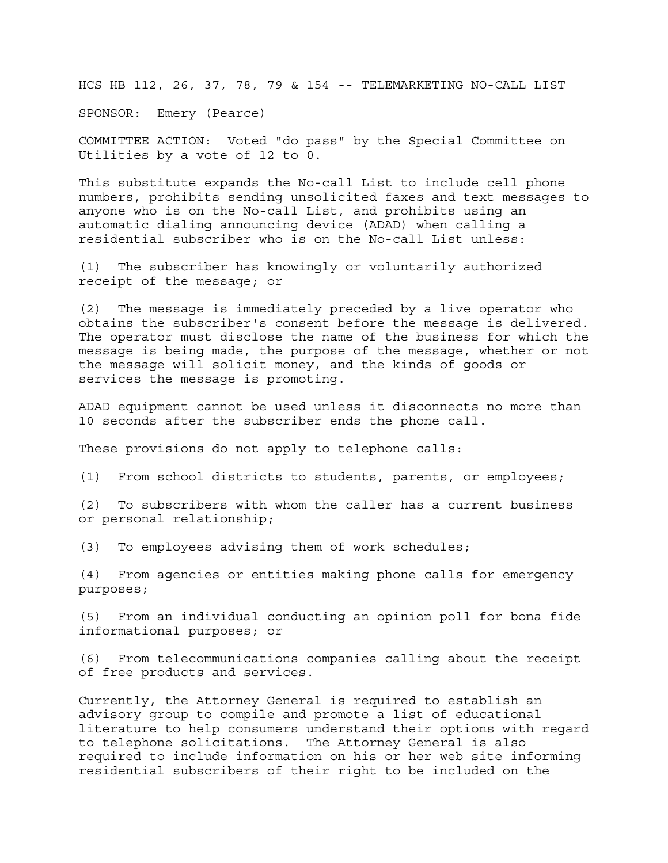HCS HB 112, 26, 37, 78, 79 & 154 -- TELEMARKETING NO-CALL LIST

SPONSOR: Emery (Pearce)

COMMITTEE ACTION: Voted "do pass" by the Special Committee on Utilities by a vote of 12 to 0.

This substitute expands the No-call List to include cell phone numbers, prohibits sending unsolicited faxes and text messages to anyone who is on the No-call List, and prohibits using an automatic dialing announcing device (ADAD) when calling a residential subscriber who is on the No-call List unless:

(1) The subscriber has knowingly or voluntarily authorized receipt of the message; or

(2) The message is immediately preceded by a live operator who obtains the subscriber's consent before the message is delivered. The operator must disclose the name of the business for which the message is being made, the purpose of the message, whether or not the message will solicit money, and the kinds of goods or services the message is promoting.

ADAD equipment cannot be used unless it disconnects no more than 10 seconds after the subscriber ends the phone call.

These provisions do not apply to telephone calls:

(1) From school districts to students, parents, or employees;

(2) To subscribers with whom the caller has a current business or personal relationship;

(3) To employees advising them of work schedules;

(4) From agencies or entities making phone calls for emergency purposes;

(5) From an individual conducting an opinion poll for bona fide informational purposes; or

(6) From telecommunications companies calling about the receipt of free products and services.

Currently, the Attorney General is required to establish an advisory group to compile and promote a list of educational literature to help consumers understand their options with regard to telephone solicitations. The Attorney General is also required to include information on his or her web site informing residential subscribers of their right to be included on the